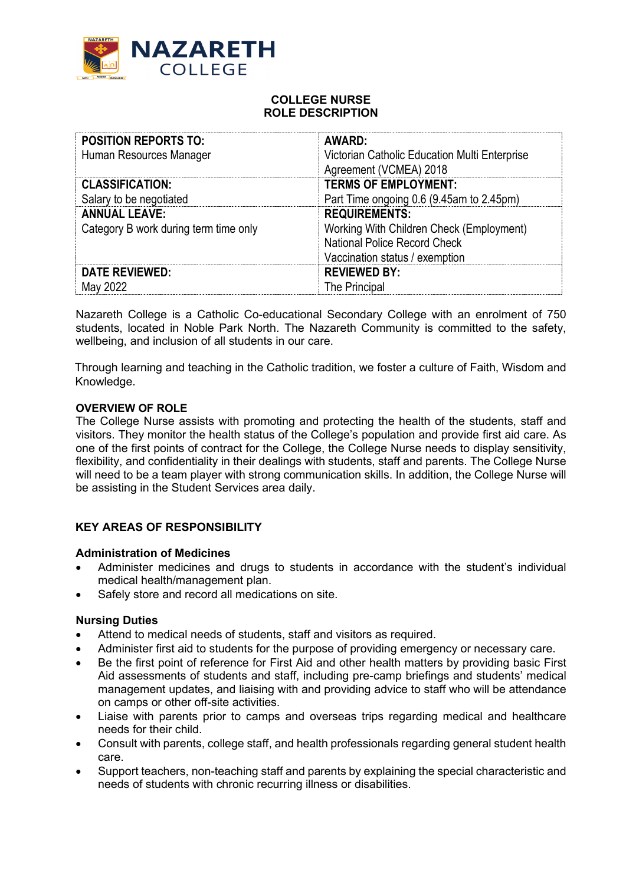

## **COLLEGE NURSE ROLE DESCRIPTION**

| <b>POSITION REPORTS TO:</b>           | AWARD:                                        |
|---------------------------------------|-----------------------------------------------|
| Human Resources Manager               | Victorian Catholic Education Multi Enterprise |
|                                       | Agreement (VCMEA) 2018                        |
| <b>CLASSIFICATION:</b>                | <b>TERMS OF EMPLOYMENT:</b>                   |
| Salary to be negotiated               | Part Time ongoing 0.6 (9.45am to 2.45pm)      |
| <b>ANNUAL LEAVE:</b>                  | <b>REQUIREMENTS:</b>                          |
| Category B work during term time only | Working With Children Check (Employment)      |
|                                       | National Police Record Check                  |
|                                       | Vaccination status / exemption                |
| <b>DATE REVIEWED:</b>                 | <b>REVIEWED BY:</b>                           |
| May 2022                              | The Principal                                 |

Nazareth College is a Catholic Co-educational Secondary College with an enrolment of 750 students, located in Noble Park North. The Nazareth Community is committed to the safety, wellbeing, and inclusion of all students in our care.

Through learning and teaching in the Catholic tradition, we foster a culture of Faith, Wisdom and Knowledge.

#### **OVERVIEW OF ROLE**

The College Nurse assists with promoting and protecting the health of the students, staff and visitors. They monitor the health status of the College's population and provide first aid care. As one of the first points of contract for the College, the College Nurse needs to display sensitivity, flexibility, and confidentiality in their dealings with students, staff and parents. The College Nurse will need to be a team player with strong communication skills. In addition, the College Nurse will be assisting in the Student Services area daily.

## **KEY AREAS OF RESPONSIBILITY**

#### **Administration of Medicines**

- Administer medicines and drugs to students in accordance with the student's individual medical health/management plan.
- Safely store and record all medications on site.

## **Nursing Duties**

- Attend to medical needs of students, staff and visitors as required.
- Administer first aid to students for the purpose of providing emergency or necessary care.
- Be the first point of reference for First Aid and other health matters by providing basic First Aid assessments of students and staff, including pre-camp briefings and students' medical management updates, and liaising with and providing advice to staff who will be attendance on camps or other off-site activities.
- Liaise with parents prior to camps and overseas trips regarding medical and healthcare needs for their child.
- Consult with parents, college staff, and health professionals regarding general student health care.
- Support teachers, non-teaching staff and parents by explaining the special characteristic and needs of students with chronic recurring illness or disabilities.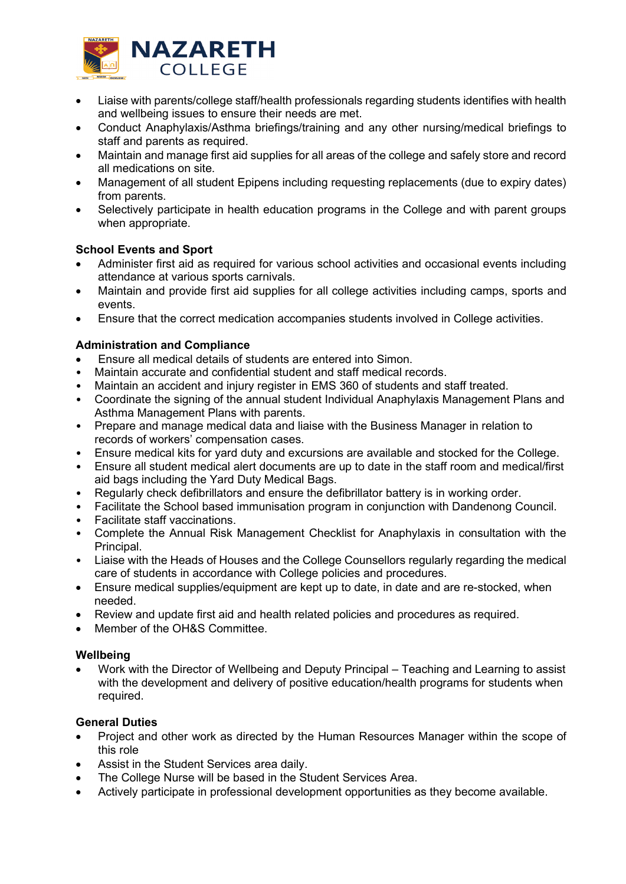

- Liaise with parents/college staff/health professionals regarding students identifies with health and wellbeing issues to ensure their needs are met.
- Conduct Anaphylaxis/Asthma briefings/training and any other nursing/medical briefings to staff and parents as required.
- Maintain and manage first aid supplies for all areas of the college and safely store and record all medications on site.
- Management of all student Epipens including requesting replacements (due to expiry dates) from parents.
- Selectively participate in health education programs in the College and with parent groups when appropriate.

# **School Events and Sport**

- Administer first aid as required for various school activities and occasional events including attendance at various sports carnivals.
- Maintain and provide first aid supplies for all college activities including camps, sports and events.
- Ensure that the correct medication accompanies students involved in College activities.

# **Administration and Compliance**

- Ensure all medical details of students are entered into Simon.
- Maintain accurate and confidential student and staff medical records.
- Maintain an accident and injury register in EMS 360 of students and staff treated.
- Coordinate the signing of the annual student Individual Anaphylaxis Management Plans and Asthma Management Plans with parents.
- Prepare and manage medical data and liaise with the Business Manager in relation to records of workers' compensation cases.
- Ensure medical kits for yard duty and excursions are available and stocked for the College.
- Ensure all student medical alert documents are up to date in the staff room and medical/first aid bags including the Yard Duty Medical Bags.
- Regularly check defibrillators and ensure the defibrillator battery is in working order.
- Facilitate the School based immunisation program in conjunction with Dandenong Council.
- Facilitate staff vaccinations.
- Complete the Annual Risk Management Checklist for Anaphylaxis in consultation with the Principal.
- Liaise with the Heads of Houses and the College Counsellors regularly regarding the medical care of students in accordance with College policies and procedures.
- Ensure medical supplies/equipment are kept up to date, in date and are re-stocked, when needed.
- Review and update first aid and health related policies and procedures as required.
- Member of the OH&S Committee

## **Wellbeing**

• Work with the Director of Wellbeing and Deputy Principal – Teaching and Learning to assist with the development and delivery of positive education/health programs for students when required.

## **General Duties**

- Project and other work as directed by the Human Resources Manager within the scope of this role
- Assist in the Student Services area daily.
- The College Nurse will be based in the Student Services Area.
- Actively participate in professional development opportunities as they become available.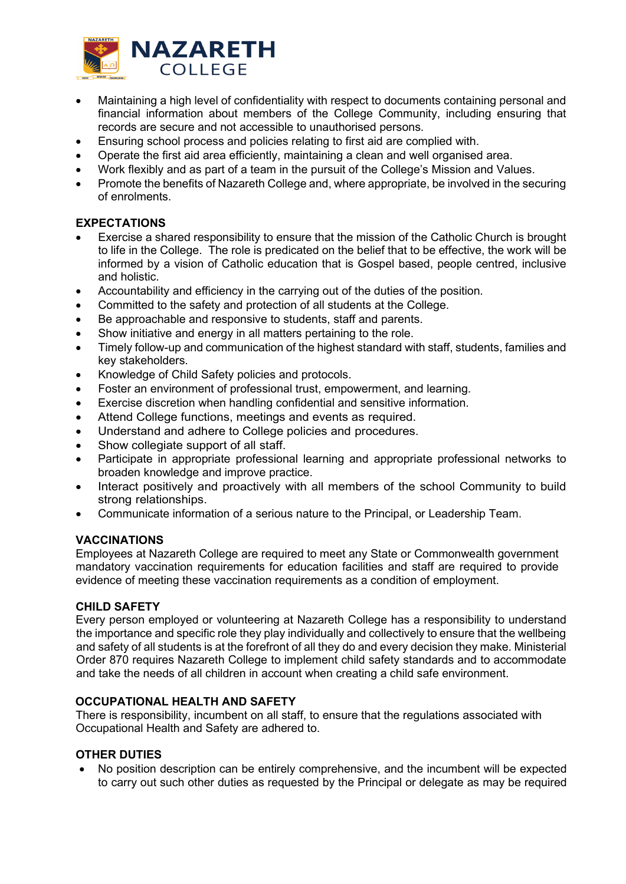

- Maintaining a high level of confidentiality with respect to documents containing personal and financial information about members of the College Community, including ensuring that records are secure and not accessible to unauthorised persons.
- Ensuring school process and policies relating to first aid are complied with.
- Operate the first aid area efficiently, maintaining a clean and well organised area.
- Work flexibly and as part of a team in the pursuit of the College's Mission and Values.
- Promote the benefits of Nazareth College and, where appropriate, be involved in the securing of enrolments.

# **EXPECTATIONS**

- Exercise a shared responsibility to ensure that the mission of the Catholic Church is brought to life in the College. The role is predicated on the belief that to be effective, the work will be informed by a vision of Catholic education that is Gospel based, people centred, inclusive and holistic.
- Accountability and efficiency in the carrying out of the duties of the position.
- Committed to the safety and protection of all students at the College.
- Be approachable and responsive to students, staff and parents.
- Show initiative and energy in all matters pertaining to the role.
- Timely follow-up and communication of the highest standard with staff, students, families and key stakeholders.
- Knowledge of Child Safety policies and protocols.
- Foster an environment of professional trust, empowerment, and learning.
- Exercise discretion when handling confidential and sensitive information.
- Attend College functions, meetings and events as required.
- Understand and adhere to College policies and procedures.
- Show collegiate support of all staff.
- Participate in appropriate professional learning and appropriate professional networks to broaden knowledge and improve practice.
- Interact positively and proactively with all members of the school Community to build strong relationships.
- Communicate information of a serious nature to the Principal, or Leadership Team.

## **VACCINATIONS**

Employees at Nazareth College are required to meet any State or Commonwealth government mandatory vaccination requirements for education facilities and staff are required to provide evidence of meeting these vaccination requirements as a condition of employment.

#### **CHILD SAFETY**

Every person employed or volunteering at Nazareth College has a responsibility to understand the importance and specific role they play individually and collectively to ensure that the wellbeing and safety of all students is at the forefront of all they do and every decision they make. Ministerial Order 870 requires Nazareth College to implement child safety standards and to accommodate and take the needs of all children in account when creating a child safe environment.

## **OCCUPATIONAL HEALTH AND SAFETY**

There is responsibility, incumbent on all staff, to ensure that the regulations associated with Occupational Health and Safety are adhered to.

#### **OTHER DUTIES**

• No position description can be entirely comprehensive, and the incumbent will be expected to carry out such other duties as requested by the Principal or delegate as may be required